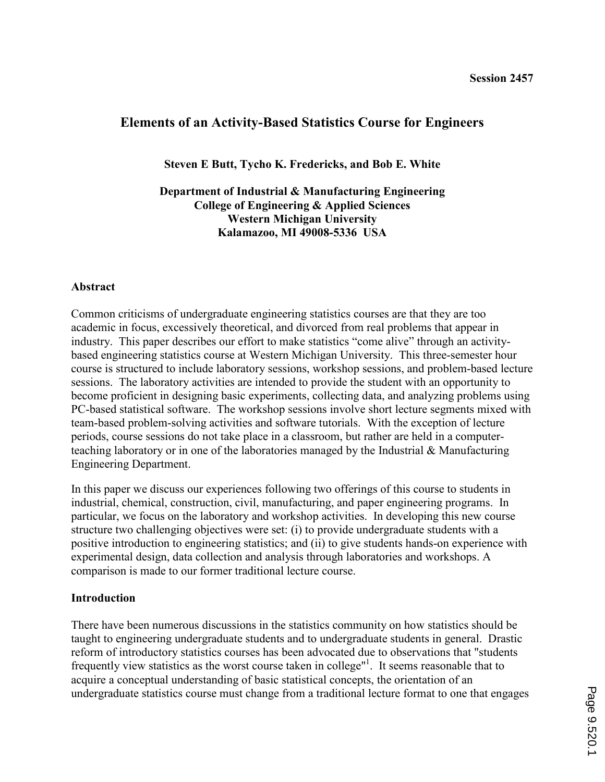# Elements of an Activity-Based Statistics Course for Engineers

Steven E Butt, Tycho K. Fredericks, and Bob E. White

Department of Industrial & Manufacturing Engineering College of Engineering & Applied Sciences Western Michigan University Kalamazoo, MI 49008-5336 USA

## Abstract

Common criticisms of undergraduate engineering statistics courses are that they are too academic in focus, excessively theoretical, and divorced from real problems that appear in industry. This paper describes our effort to make statistics "come alive" through an activitybased engineering statistics course at Western Michigan University. This three-semester hour course is structured to include laboratory sessions, workshop sessions, and problem-based lecture sessions. The laboratory activities are intended to provide the student with an opportunity to become proficient in designing basic experiments, collecting data, and analyzing problems using PC-based statistical software. The workshop sessions involve short lecture segments mixed with team-based problem-solving activities and software tutorials. With the exception of lecture periods, course sessions do not take place in a classroom, but rather are held in a computerteaching laboratory or in one of the laboratories managed by the Industrial & Manufacturing Engineering Department.

In this paper we discuss our experiences following two offerings of this course to students in industrial, chemical, construction, civil, manufacturing, and paper engineering programs. In particular, we focus on the laboratory and workshop activities. In developing this new course structure two challenging objectives were set: (i) to provide undergraduate students with a positive introduction to engineering statistics; and (ii) to give students hands-on experience with experimental design, data collection and analysis through laboratories and workshops. A comparison is made to our former traditional lecture course.

#### Introduction

There have been numerous discussions in the statistics community on how statistics should be taught to engineering undergraduate students and to undergraduate students in general. Drastic reform of introductory statistics courses has been advocated due to observations that "students frequently view statistics as the worst course taken in college"<sup>1</sup>. It seems reasonable that to acquire a conceptual understanding of basic statistical concepts, the orientation of an undergraduate statistics course must change from a traditional lecture format to one that engages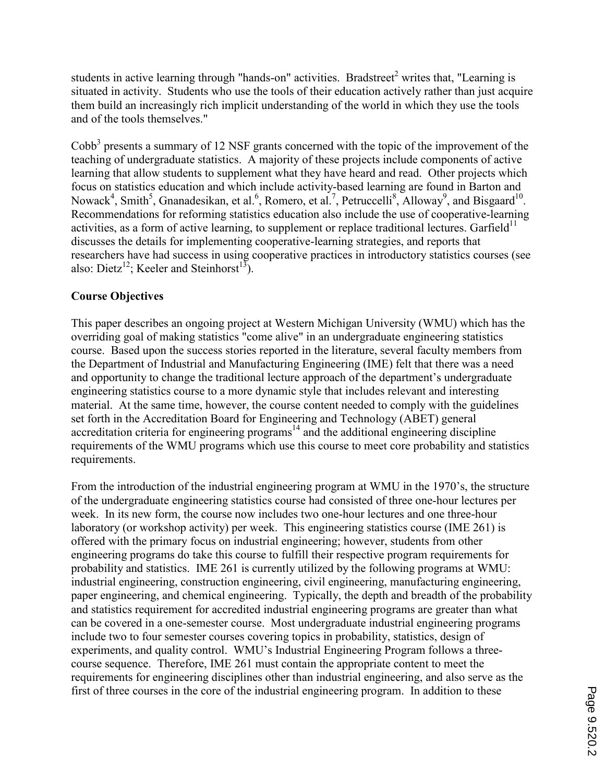students in active learning through "hands-on" activities. Bradstreet<sup>2</sup> writes that, "Learning is situated in activity. Students who use the tools of their education actively rather than just acquire them build an increasingly rich implicit understanding of the world in which they use the tools and of the tools themselves."

Cobb<sup>3</sup> presents a summary of 12 NSF grants concerned with the topic of the improvement of the teaching of undergraduate statistics. A majority of these projects include components of active learning that allow students to supplement what they have heard and read. Other projects which focus on statistics education and which include activity-based learning are found in Barton and Nowack<sup>4</sup>, Smith<sup>5</sup>, Gnanadesikan, et al.<sup>6</sup>, Romero, et al.<sup>7</sup>, Petruccelli<sup>8</sup>, Alloway<sup>9</sup>, and Bisgaard<sup>10</sup>. Recommendations for reforming statistics education also include the use of cooperative-learning activities, as a form of active learning, to supplement or replace traditional lectures. Garfield<sup>11</sup> discusses the details for implementing cooperative-learning strategies, and reports that researchers have had success in using cooperative practices in introductory statistics courses (see also: Dietz<sup>12</sup>; Keeler and Steinhorst<sup>13</sup>).

# Course Objectives

This paper describes an ongoing project at Western Michigan University (WMU) which has the overriding goal of making statistics "come alive" in an undergraduate engineering statistics course. Based upon the success stories reported in the literature, several faculty members from the Department of Industrial and Manufacturing Engineering (IME) felt that there was a need and opportunity to change the traditional lecture approach of the department's undergraduate engineering statistics course to a more dynamic style that includes relevant and interesting material. At the same time, however, the course content needed to comply with the guidelines set forth in the Accreditation Board for Engineering and Technology (ABET) general accreditation criteria for engineering programs $14$  and the additional engineering discipline requirements of the WMU programs which use this course to meet core probability and statistics requirements.

From the introduction of the industrial engineering program at WMU in the 1970's, the structure of the undergraduate engineering statistics course had consisted of three one-hour lectures per week. In its new form, the course now includes two one-hour lectures and one three-hour laboratory (or workshop activity) per week. This engineering statistics course (IME 261) is offered with the primary focus on industrial engineering; however, students from other engineering programs do take this course to fulfill their respective program requirements for probability and statistics. IME 261 is currently utilized by the following programs at WMU: industrial engineering, construction engineering, civil engineering, manufacturing engineering, paper engineering, and chemical engineering. Typically, the depth and breadth of the probability and statistics requirement for accredited industrial engineering programs are greater than what can be covered in a one-semester course. Most undergraduate industrial engineering programs include two to four semester courses covering topics in probability, statistics, design of experiments, and quality control. WMU's Industrial Engineering Program follows a threecourse sequence. Therefore, IME 261 must contain the appropriate content to meet the requirements for engineering disciplines other than industrial engineering, and also serve as the first of three courses in the core of the industrial engineering program. In addition to these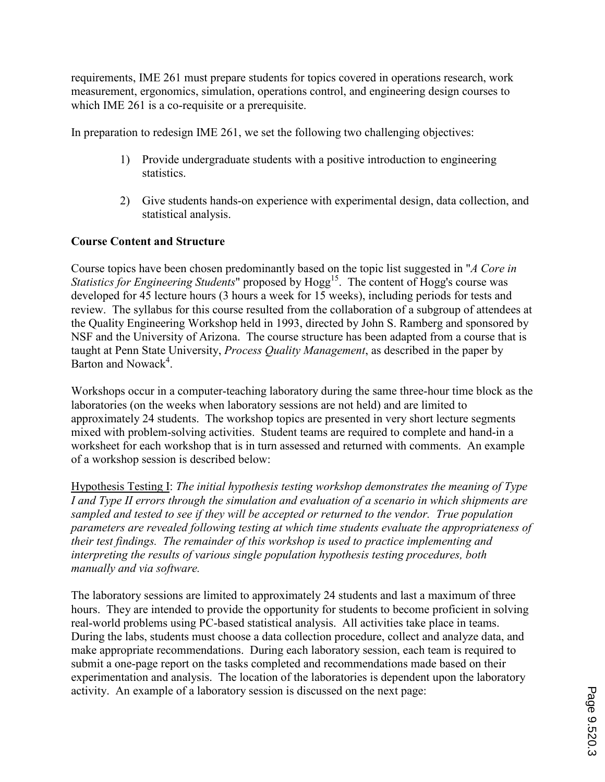requirements, IME 261 must prepare students for topics covered in operations research, work measurement, ergonomics, simulation, operations control, and engineering design courses to which IME 261 is a co-requisite or a prerequisite.

In preparation to redesign IME 261, we set the following two challenging objectives:

- 1) Provide undergraduate students with a positive introduction to engineering statistics.
- 2) Give students hands-on experience with experimental design, data collection, and statistical analysis.

# Course Content and Structure

Course topics have been chosen predominantly based on the topic list suggested in "A Core in Statistics for Engineering Students" proposed by  $Hogg<sup>15</sup>$ . The content of Hogg's course was developed for 45 lecture hours (3 hours a week for 15 weeks), including periods for tests and review. The syllabus for this course resulted from the collaboration of a subgroup of attendees at the Quality Engineering Workshop held in 1993, directed by John S. Ramberg and sponsored by NSF and the University of Arizona. The course structure has been adapted from a course that is taught at Penn State University, *Process Quality Management*, as described in the paper by Barton and Nowack<sup>4</sup>.

Workshops occur in a computer-teaching laboratory during the same three-hour time block as the laboratories (on the weeks when laboratory sessions are not held) and are limited to approximately 24 students. The workshop topics are presented in very short lecture segments mixed with problem-solving activities. Student teams are required to complete and hand-in a worksheet for each workshop that is in turn assessed and returned with comments. An example of a workshop session is described below:

Hypothesis Testing I: The initial hypothesis testing workshop demonstrates the meaning of Type I and Type II errors through the simulation and evaluation of a scenario in which shipments are sampled and tested to see if they will be accepted or returned to the vendor. True population parameters are revealed following testing at which time students evaluate the appropriateness of their test findings. The remainder of this workshop is used to practice implementing and interpreting the results of various single population hypothesis testing procedures, both manually and via software.

The laboratory sessions are limited to approximately 24 students and last a maximum of three hours. They are intended to provide the opportunity for students to become proficient in solving real-world problems using PC-based statistical analysis. All activities take place in teams. During the labs, students must choose a data collection procedure, collect and analyze data, and make appropriate recommendations. During each laboratory session, each team is required to submit a one-page report on the tasks completed and recommendations made based on their experimentation and analysis. The location of the laboratories is dependent upon the laboratory activity. An example of a laboratory session is discussed on the next page: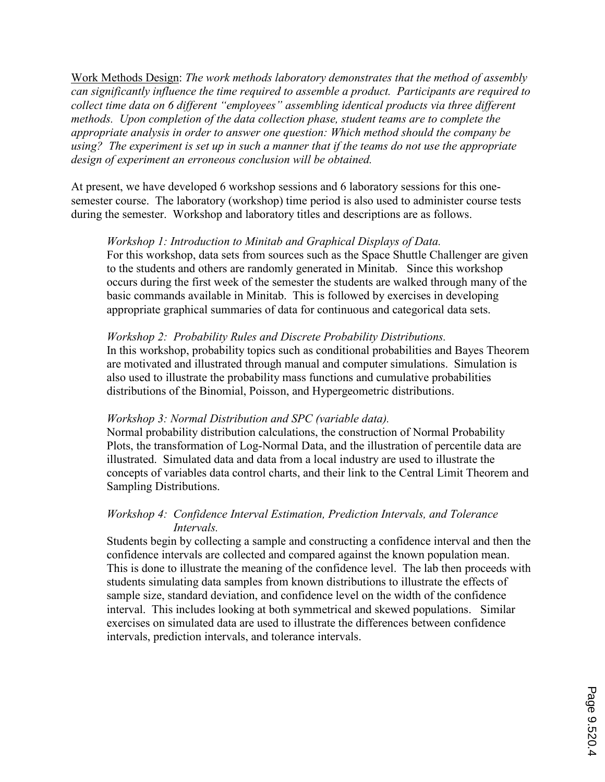Work Methods Design: The work methods laboratory demonstrates that the method of assembly can significantly influence the time required to assemble a product. Participants are required to collect time data on 6 different "employees" assembling identical products via three different methods. Upon completion of the data collection phase, student teams are to complete the appropriate analysis in order to answer one question: Which method should the company be using? The experiment is set up in such a manner that if the teams do not use the appropriate design of experiment an erroneous conclusion will be obtained.

At present, we have developed 6 workshop sessions and 6 laboratory sessions for this onesemester course. The laboratory (workshop) time period is also used to administer course tests during the semester. Workshop and laboratory titles and descriptions are as follows.

#### Workshop 1: Introduction to Minitab and Graphical Displays of Data.

For this workshop, data sets from sources such as the Space Shuttle Challenger are given to the students and others are randomly generated in Minitab. Since this workshop occurs during the first week of the semester the students are walked through many of the basic commands available in Minitab. This is followed by exercises in developing appropriate graphical summaries of data for continuous and categorical data sets.

#### Workshop 2: Probability Rules and Discrete Probability Distributions.

In this workshop, probability topics such as conditional probabilities and Bayes Theorem are motivated and illustrated through manual and computer simulations. Simulation is also used to illustrate the probability mass functions and cumulative probabilities distributions of the Binomial, Poisson, and Hypergeometric distributions.

#### Workshop 3: Normal Distribution and SPC (variable data).

Normal probability distribution calculations, the construction of Normal Probability Plots, the transformation of Log-Normal Data, and the illustration of percentile data are illustrated. Simulated data and data from a local industry are used to illustrate the concepts of variables data control charts, and their link to the Central Limit Theorem and Sampling Distributions.

## Workshop 4: Confidence Interval Estimation, Prediction Intervals, and Tolerance Intervals.

Students begin by collecting a sample and constructing a confidence interval and then the confidence intervals are collected and compared against the known population mean. This is done to illustrate the meaning of the confidence level. The lab then proceeds with students simulating data samples from known distributions to illustrate the effects of sample size, standard deviation, and confidence level on the width of the confidence interval. This includes looking at both symmetrical and skewed populations. Similar exercises on simulated data are used to illustrate the differences between confidence intervals, prediction intervals, and tolerance intervals.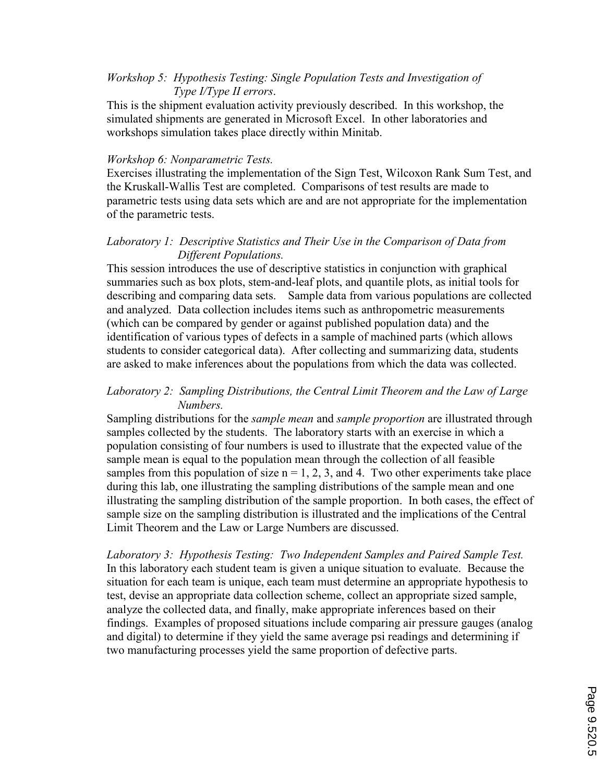# Workshop 5: Hypothesis Testing: Single Population Tests and Investigation of Type I/Type II errors.

This is the shipment evaluation activity previously described. In this workshop, the simulated shipments are generated in Microsoft Excel. In other laboratories and workshops simulation takes place directly within Minitab.

#### Workshop 6: Nonparametric Tests.

Exercises illustrating the implementation of the Sign Test, Wilcoxon Rank Sum Test, and the Kruskall-Wallis Test are completed. Comparisons of test results are made to parametric tests using data sets which are and are not appropriate for the implementation of the parametric tests.

# Laboratory 1: Descriptive Statistics and Their Use in the Comparison of Data from Different Populations.

This session introduces the use of descriptive statistics in conjunction with graphical summaries such as box plots, stem-and-leaf plots, and quantile plots, as initial tools for describing and comparing data sets. Sample data from various populations are collected and analyzed. Data collection includes items such as anthropometric measurements (which can be compared by gender or against published population data) and the identification of various types of defects in a sample of machined parts (which allows students to consider categorical data). After collecting and summarizing data, students are asked to make inferences about the populations from which the data was collected.

## Laboratory 2: Sampling Distributions, the Central Limit Theorem and the Law of Large Numbers.

Sampling distributions for the *sample mean* and *sample proportion* are illustrated through samples collected by the students. The laboratory starts with an exercise in which a population consisting of four numbers is used to illustrate that the expected value of the sample mean is equal to the population mean through the collection of all feasible samples from this population of size  $n = 1, 2, 3$ , and 4. Two other experiments take place during this lab, one illustrating the sampling distributions of the sample mean and one illustrating the sampling distribution of the sample proportion. In both cases, the effect of sample size on the sampling distribution is illustrated and the implications of the Central Limit Theorem and the Law or Large Numbers are discussed.

Laboratory 3: Hypothesis Testing: Two Independent Samples and Paired Sample Test. In this laboratory each student team is given a unique situation to evaluate. Because the situation for each team is unique, each team must determine an appropriate hypothesis to test, devise an appropriate data collection scheme, collect an appropriate sized sample, analyze the collected data, and finally, make appropriate inferences based on their findings. Examples of proposed situations include comparing air pressure gauges (analog and digital) to determine if they yield the same average psi readings and determining if two manufacturing processes yield the same proportion of defective parts.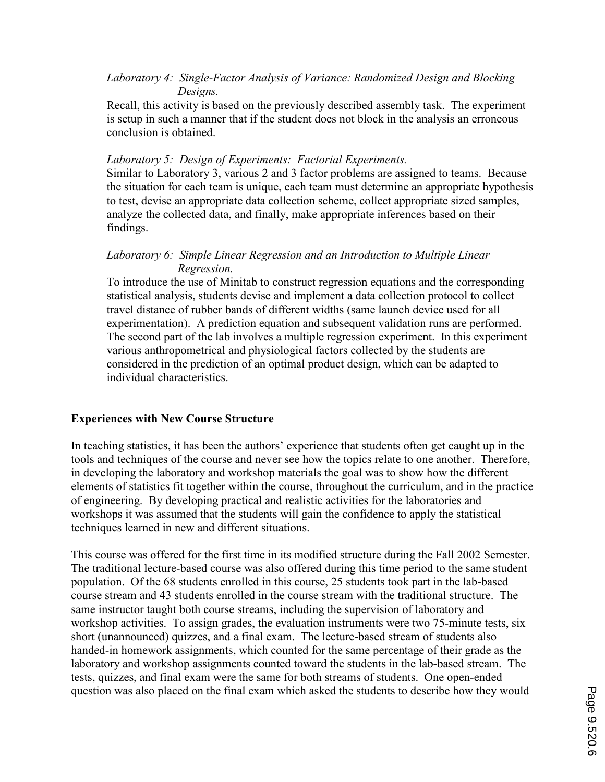## Laboratory 4: Single-Factor Analysis of Variance: Randomized Design and Blocking Designs.

Recall, this activity is based on the previously described assembly task. The experiment is setup in such a manner that if the student does not block in the analysis an erroneous conclusion is obtained.

## Laboratory 5: Design of Experiments: Factorial Experiments.

Similar to Laboratory 3, various 2 and 3 factor problems are assigned to teams. Because the situation for each team is unique, each team must determine an appropriate hypothesis to test, devise an appropriate data collection scheme, collect appropriate sized samples, analyze the collected data, and finally, make appropriate inferences based on their findings.

## Laboratory 6: Simple Linear Regression and an Introduction to Multiple Linear Regression.

To introduce the use of Minitab to construct regression equations and the corresponding statistical analysis, students devise and implement a data collection protocol to collect travel distance of rubber bands of different widths (same launch device used for all experimentation). A prediction equation and subsequent validation runs are performed. The second part of the lab involves a multiple regression experiment. In this experiment various anthropometrical and physiological factors collected by the students are considered in the prediction of an optimal product design, which can be adapted to individual characteristics.

# Experiences with New Course Structure

In teaching statistics, it has been the authors' experience that students often get caught up in the tools and techniques of the course and never see how the topics relate to one another. Therefore, in developing the laboratory and workshop materials the goal was to show how the different elements of statistics fit together within the course, throughout the curriculum, and in the practice of engineering. By developing practical and realistic activities for the laboratories and workshops it was assumed that the students will gain the confidence to apply the statistical techniques learned in new and different situations.

This course was offered for the first time in its modified structure during the Fall 2002 Semester. The traditional lecture-based course was also offered during this time period to the same student population. Of the 68 students enrolled in this course, 25 students took part in the lab-based course stream and 43 students enrolled in the course stream with the traditional structure. The same instructor taught both course streams, including the supervision of laboratory and workshop activities. To assign grades, the evaluation instruments were two 75-minute tests, six short (unannounced) quizzes, and a final exam. The lecture-based stream of students also handed-in homework assignments, which counted for the same percentage of their grade as the laboratory and workshop assignments counted toward the students in the lab-based stream. The tests, quizzes, and final exam were the same for both streams of students. One open-ended question was also placed on the final exam which asked the students to describe how they would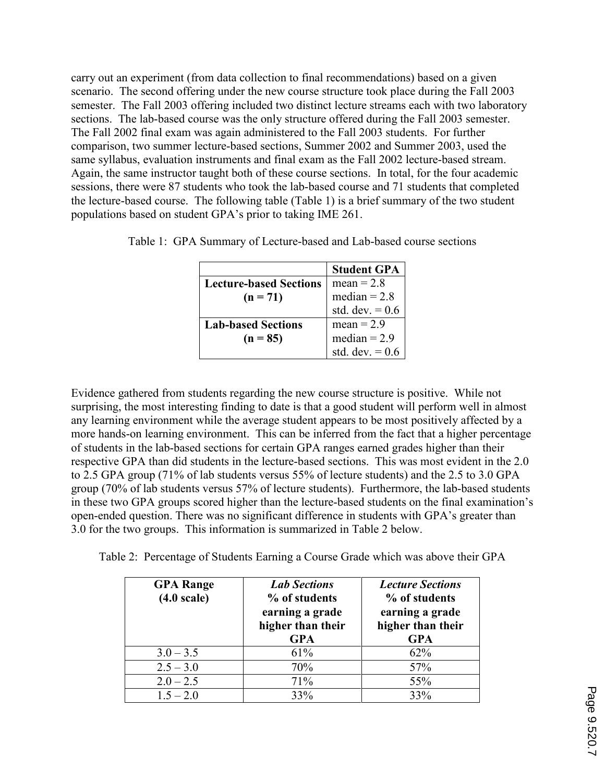carry out an experiment (from data collection to final recommendations) based on a given scenario. The second offering under the new course structure took place during the Fall 2003 semester. The Fall 2003 offering included two distinct lecture streams each with two laboratory sections. The lab-based course was the only structure offered during the Fall 2003 semester. The Fall 2002 final exam was again administered to the Fall 2003 students. For further comparison, two summer lecture-based sections, Summer 2002 and Summer 2003, used the same syllabus, evaluation instruments and final exam as the Fall 2002 lecture-based stream. Again, the same instructor taught both of these course sections. In total, for the four academic sessions, there were 87 students who took the lab-based course and 71 students that completed the lecture-based course. The following table (Table 1) is a brief summary of the two student populations based on student GPA's prior to taking IME 261.

|                               | <b>Student GPA</b>                  |
|-------------------------------|-------------------------------------|
| <b>Lecture-based Sections</b> | $mean = 2.8$                        |
| $(n = 71)$                    | median = $2.8$<br>std. dev. = $0.6$ |
|                               |                                     |
| <b>Lab-based Sections</b>     | $mean = 2.9$                        |
| $(n = 85)$                    | median = $2.9$                      |
|                               | std. dev. $= 0.6$                   |

Evidence gathered from students regarding the new course structure is positive. While not surprising, the most interesting finding to date is that a good student will perform well in almost any learning environment while the average student appears to be most positively affected by a more hands-on learning environment. This can be inferred from the fact that a higher percentage of students in the lab-based sections for certain GPA ranges earned grades higher than their respective GPA than did students in the lecture-based sections. This was most evident in the 2.0 to 2.5 GPA group (71% of lab students versus 55% of lecture students) and the 2.5 to 3.0 GPA group (70% of lab students versus 57% of lecture students). Furthermore, the lab-based students in these two GPA groups scored higher than the lecture-based students on the final examination's open-ended question. There was no significant difference in students with GPA's greater than 3.0 for the two groups. This information is summarized in Table 2 below.

Table 2: Percentage of Students Earning a Course Grade which was above their GPA

| <b>GPA Range</b><br>$(4.0 \text{ scale})$ | <b>Lab Sections</b><br>% of students<br>earning a grade<br>higher than their<br><b>GPA</b> | <b>Lecture Sections</b><br>% of students<br>earning a grade<br>higher than their<br><b>GPA</b> |
|-------------------------------------------|--------------------------------------------------------------------------------------------|------------------------------------------------------------------------------------------------|
| $3.0 - 3.5$                               | 61%                                                                                        | 62%                                                                                            |
| $2.5 - 3.0$                               | 70%                                                                                        | 57%                                                                                            |
| $2.0 - 2.5$                               | 71%                                                                                        | 55%                                                                                            |
| $1.5 - 2.0$                               | 33%                                                                                        | 33%                                                                                            |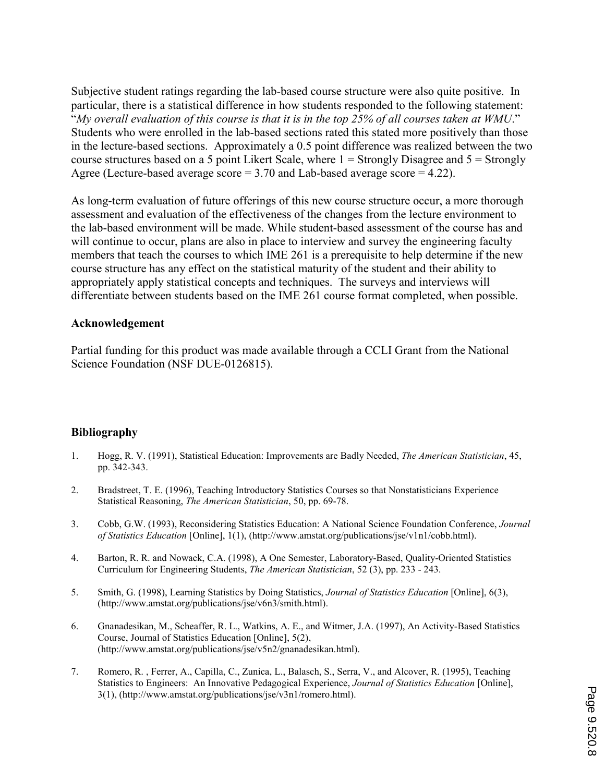Subjective student ratings regarding the lab-based course structure were also quite positive. In particular, there is a statistical difference in how students responded to the following statement: "My overall evaluation of this course is that it is in the top 25% of all courses taken at WMU." Students who were enrolled in the lab-based sections rated this stated more positively than those in the lecture-based sections. Approximately a 0.5 point difference was realized between the two course structures based on a 5 point Likert Scale, where  $1 =$  Strongly Disagree and  $5 =$  Strongly Agree (Lecture-based average score = 3.70 and Lab-based average score = 4.22).

As long-term evaluation of future offerings of this new course structure occur, a more thorough assessment and evaluation of the effectiveness of the changes from the lecture environment to the lab-based environment will be made. While student-based assessment of the course has and will continue to occur, plans are also in place to interview and survey the engineering faculty members that teach the courses to which IME 261 is a prerequisite to help determine if the new course structure has any effect on the statistical maturity of the student and their ability to appropriately apply statistical concepts and techniques. The surveys and interviews will differentiate between students based on the IME 261 course format completed, when possible.

#### Acknowledgement

Partial funding for this product was made available through a CCLI Grant from the National Science Foundation (NSF DUE-0126815).

#### Bibliography

- 1. Hogg, R. V. (1991), Statistical Education: Improvements are Badly Needed, The American Statistician, 45, pp. 342-343.
- 2. Bradstreet, T. E. (1996), Teaching Introductory Statistics Courses so that Nonstatisticians Experience Statistical Reasoning, The American Statistician, 50, pp. 69-78.
- 3. Cobb, G.W. (1993), Reconsidering Statistics Education: A National Science Foundation Conference, Journal of Statistics Education [Online], 1(1), (http://www.amstat.org/publications/jse/v1n1/cobb.html).
- 4. Barton, R. R. and Nowack, C.A. (1998), A One Semester, Laboratory-Based, Quality-Oriented Statistics Curriculum for Engineering Students, The American Statistician, 52 (3), pp. 233 - 243.
- 5. Smith, G. (1998), Learning Statistics by Doing Statistics, Journal of Statistics Education [Online], 6(3), (http://www.amstat.org/publications/jse/v6n3/smith.html).
- 6. Gnanadesikan, M., Scheaffer, R. L., Watkins, A. E., and Witmer, J.A. (1997), An Activity-Based Statistics Course, Journal of Statistics Education [Online], 5(2), (http://www.amstat.org/publications/jse/v5n2/gnanadesikan.html).
- 7. Romero, R. , Ferrer, A., Capilla, C., Zunica, L., Balasch, S., Serra, V., and Alcover, R. (1995), Teaching Statistics to Engineers: An Innovative Pedagogical Experience, Journal of Statistics Education [Online], 3(1), (http://www.amstat.org/publications/jse/v3n1/romero.html).